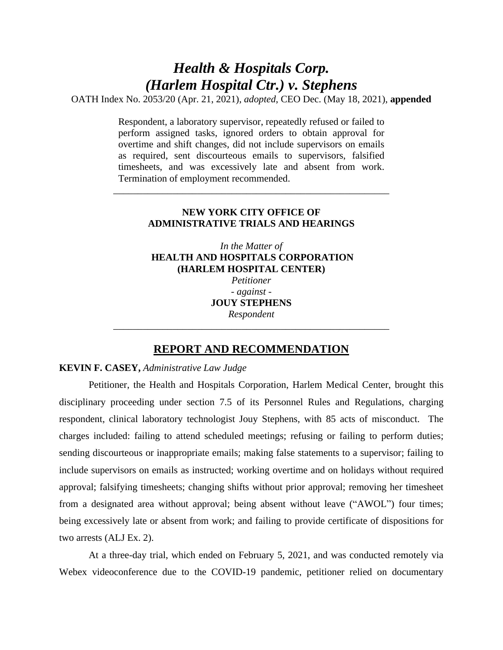# *Health & Hospitals Corp. (Harlem Hospital Ctr.) v. Stephens*

OATH Index No. 2053/20 (Apr. 21, 2021), *adopted*, CEO Dec. (May 18, 2021), **appended**

Respondent, a laboratory supervisor, repeatedly refused or failed to perform assigned tasks, ignored orders to obtain approval for overtime and shift changes, did not include supervisors on emails as required, sent discourteous emails to supervisors, falsified timesheets, and was excessively late and absent from work. Termination of employment recommended.

# **NEW YORK CITY OFFICE OF ADMINISTRATIVE TRIALS AND HEARINGS**

\_\_\_\_\_\_\_\_\_\_\_\_\_\_\_\_\_\_\_\_\_\_\_\_\_\_\_\_\_\_\_\_\_\_\_\_\_\_\_\_\_\_\_\_\_\_\_\_\_\_\_\_\_\_\_\_

*In the Matter of* **HEALTH AND HOSPITALS CORPORATION (HARLEM HOSPITAL CENTER)** *Petitioner - against -* **JOUY STEPHENS** *Respondent \_\_\_\_\_\_\_\_\_\_\_\_\_\_\_\_\_\_\_\_\_\_\_\_\_\_\_\_\_\_\_\_\_\_\_\_\_\_\_\_\_\_\_\_\_\_\_\_\_\_\_*\_*\_\_\_\_*

# **REPORT AND RECOMMENDATION**

# **KEVIN F. CASEY,** *Administrative Law Judge*

Petitioner, the Health and Hospitals Corporation, Harlem Medical Center, brought this disciplinary proceeding under section 7.5 of its Personnel Rules and Regulations, charging respondent, clinical laboratory technologist Jouy Stephens, with 85 acts of misconduct. The charges included: failing to attend scheduled meetings; refusing or failing to perform duties; sending discourteous or inappropriate emails; making false statements to a supervisor; failing to include supervisors on emails as instructed; working overtime and on holidays without required approval; falsifying timesheets; changing shifts without prior approval; removing her timesheet from a designated area without approval; being absent without leave ("AWOL") four times; being excessively late or absent from work; and failing to provide certificate of dispositions for two arrests (ALJ Ex. 2).

At a three-day trial, which ended on February 5, 2021, and was conducted remotely via Webex videoconference due to the COVID-19 pandemic, petitioner relied on documentary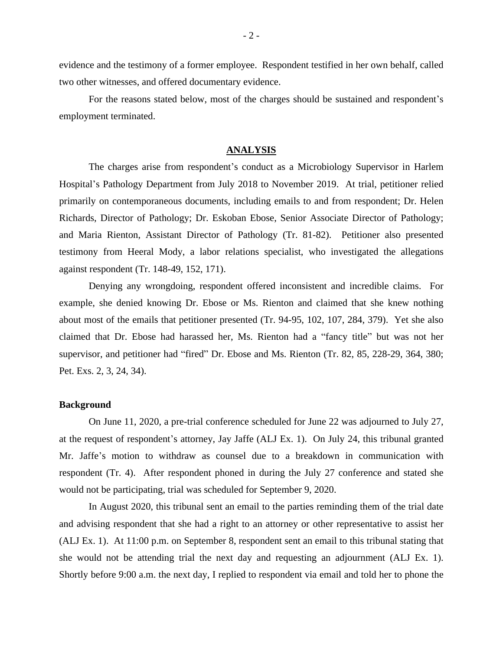evidence and the testimony of a former employee. Respondent testified in her own behalf, called two other witnesses, and offered documentary evidence.

For the reasons stated below, most of the charges should be sustained and respondent's employment terminated.

### **ANALYSIS**

The charges arise from respondent's conduct as a Microbiology Supervisor in Harlem Hospital's Pathology Department from July 2018 to November 2019. At trial, petitioner relied primarily on contemporaneous documents, including emails to and from respondent; Dr. Helen Richards, Director of Pathology; Dr. Eskoban Ebose, Senior Associate Director of Pathology; and Maria Rienton, Assistant Director of Pathology (Tr. 81-82). Petitioner also presented testimony from Heeral Mody, a labor relations specialist, who investigated the allegations against respondent (Tr. 148-49, 152, 171).

Denying any wrongdoing, respondent offered inconsistent and incredible claims. For example, she denied knowing Dr. Ebose or Ms. Rienton and claimed that she knew nothing about most of the emails that petitioner presented (Tr. 94-95, 102, 107, 284, 379). Yet she also claimed that Dr. Ebose had harassed her, Ms. Rienton had a "fancy title" but was not her supervisor, and petitioner had "fired" Dr. Ebose and Ms. Rienton (Tr. 82, 85, 228-29, 364, 380; Pet. Exs. 2, 3, 24, 34).

#### **Background**

On June 11, 2020, a pre-trial conference scheduled for June 22 was adjourned to July 27, at the request of respondent's attorney, Jay Jaffe (ALJ Ex. 1). On July 24, this tribunal granted Mr. Jaffe's motion to withdraw as counsel due to a breakdown in communication with respondent (Tr. 4). After respondent phoned in during the July 27 conference and stated she would not be participating, trial was scheduled for September 9, 2020.

In August 2020, this tribunal sent an email to the parties reminding them of the trial date and advising respondent that she had a right to an attorney or other representative to assist her (ALJ Ex. 1). At 11:00 p.m. on September 8, respondent sent an email to this tribunal stating that she would not be attending trial the next day and requesting an adjournment (ALJ Ex. 1). Shortly before 9:00 a.m. the next day, I replied to respondent via email and told her to phone the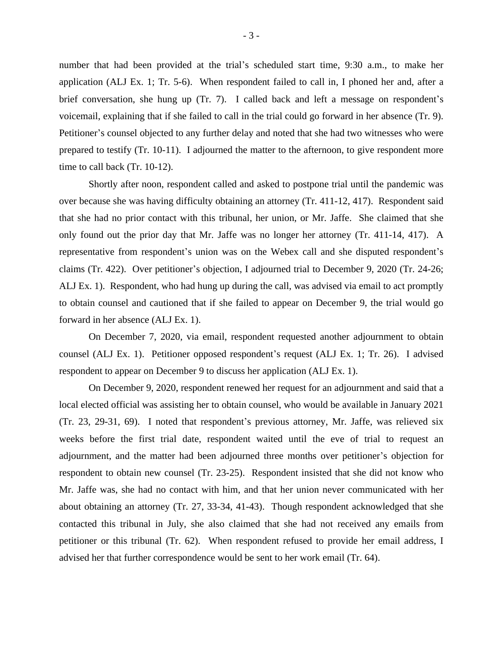number that had been provided at the trial's scheduled start time, 9:30 a.m., to make her application (ALJ Ex. 1; Tr. 5-6). When respondent failed to call in, I phoned her and, after a brief conversation, she hung up (Tr. 7). I called back and left a message on respondent's voicemail, explaining that if she failed to call in the trial could go forward in her absence (Tr. 9). Petitioner's counsel objected to any further delay and noted that she had two witnesses who were prepared to testify (Tr. 10-11). I adjourned the matter to the afternoon, to give respondent more time to call back (Tr. 10-12).

Shortly after noon, respondent called and asked to postpone trial until the pandemic was over because she was having difficulty obtaining an attorney (Tr. 411-12, 417). Respondent said that she had no prior contact with this tribunal, her union, or Mr. Jaffe. She claimed that she only found out the prior day that Mr. Jaffe was no longer her attorney (Tr. 411-14, 417). A representative from respondent's union was on the Webex call and she disputed respondent's claims (Tr. 422). Over petitioner's objection, I adjourned trial to December 9, 2020 (Tr. 24-26; ALJ Ex. 1). Respondent, who had hung up during the call, was advised via email to act promptly to obtain counsel and cautioned that if she failed to appear on December 9, the trial would go forward in her absence (ALJ Ex. 1).

On December 7, 2020, via email, respondent requested another adjournment to obtain counsel (ALJ Ex. 1). Petitioner opposed respondent's request (ALJ Ex. 1; Tr. 26). I advised respondent to appear on December 9 to discuss her application (ALJ Ex. 1).

On December 9, 2020, respondent renewed her request for an adjournment and said that a local elected official was assisting her to obtain counsel, who would be available in January 2021 (Tr. 23, 29-31, 69). I noted that respondent's previous attorney, Mr. Jaffe, was relieved six weeks before the first trial date, respondent waited until the eve of trial to request an adjournment, and the matter had been adjourned three months over petitioner's objection for respondent to obtain new counsel (Tr. 23-25). Respondent insisted that she did not know who Mr. Jaffe was, she had no contact with him, and that her union never communicated with her about obtaining an attorney (Tr. 27, 33-34, 41-43). Though respondent acknowledged that she contacted this tribunal in July, she also claimed that she had not received any emails from petitioner or this tribunal (Tr. 62). When respondent refused to provide her email address, I advised her that further correspondence would be sent to her work email (Tr. 64).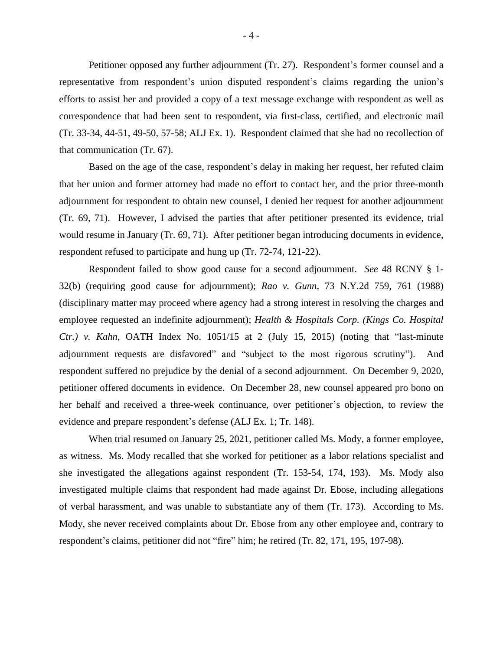Petitioner opposed any further adjournment (Tr. 27). Respondent's former counsel and a representative from respondent's union disputed respondent's claims regarding the union's efforts to assist her and provided a copy of a text message exchange with respondent as well as correspondence that had been sent to respondent, via first-class, certified, and electronic mail (Tr. 33-34, 44-51, 49-50, 57-58; ALJ Ex. 1). Respondent claimed that she had no recollection of that communication (Tr. 67).

Based on the age of the case, respondent's delay in making her request, her refuted claim that her union and former attorney had made no effort to contact her, and the prior three-month adjournment for respondent to obtain new counsel, I denied her request for another adjournment (Tr. 69, 71). However, I advised the parties that after petitioner presented its evidence, trial would resume in January (Tr. 69, 71). After petitioner began introducing documents in evidence, respondent refused to participate and hung up (Tr. 72-74, 121-22).

Respondent failed to show good cause for a second adjournment. *See* 48 RCNY § 1- 32(b) (requiring good cause for adjournment); *Rao v. Gunn*, 73 N.Y.2d 759, 761 (1988) (disciplinary matter may proceed where agency had a strong interest in resolving the charges and employee requested an indefinite adjournment); *Health & Hospitals Corp. (Kings Co. Hospital Ctr.) v. Kahn*, OATH Index No. 1051/15 at 2 (July 15, 2015) (noting that "last-minute adjournment requests are disfavored" and "subject to the most rigorous scrutiny"). And respondent suffered no prejudice by the denial of a second adjournment. On December 9, 2020, petitioner offered documents in evidence. On December 28, new counsel appeared pro bono on her behalf and received a three-week continuance, over petitioner's objection, to review the evidence and prepare respondent's defense (ALJ Ex. 1; Tr. 148).

When trial resumed on January 25, 2021, petitioner called Ms. Mody, a former employee, as witness. Ms. Mody recalled that she worked for petitioner as a labor relations specialist and she investigated the allegations against respondent (Tr. 153-54, 174, 193). Ms. Mody also investigated multiple claims that respondent had made against Dr. Ebose, including allegations of verbal harassment, and was unable to substantiate any of them (Tr. 173). According to Ms. Mody, she never received complaints about Dr. Ebose from any other employee and, contrary to respondent's claims, petitioner did not "fire" him; he retired (Tr. 82, 171, 195, 197-98).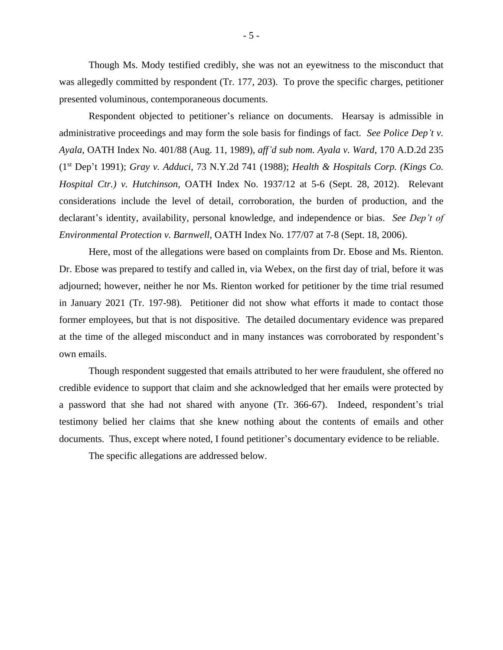Though Ms. Mody testified credibly, she was not an eyewitness to the misconduct that was allegedly committed by respondent (Tr. 177, 203). To prove the specific charges, petitioner presented voluminous, contemporaneous documents.

Respondent objected to petitioner's reliance on documents. Hearsay is admissible in administrative proceedings and may form the sole basis for findings of fact. *See Police Dep't v. Ayala*, OATH Index No. 401/88 (Aug. 11, 1989), *aff'd sub nom. Ayala v. Ward*, 170 A.D.2d 235 (1st Dep't 1991); *Gray v. Adduci*, 73 N.Y.2d 741 (1988); *Health & Hospitals Corp. (Kings Co. Hospital Ctr.) v. Hutchinson*, OATH Index No. 1937/12 at 5-6 (Sept. 28, 2012). Relevant considerations include the level of detail, corroboration, the burden of production, and the declarant's identity, availability, personal knowledge, and independence or bias. *See Dep't of Environmental Protection v. Barnwell*, OATH Index No. 177/07 at 7-8 (Sept. 18, 2006).

Here, most of the allegations were based on complaints from Dr. Ebose and Ms. Rienton. Dr. Ebose was prepared to testify and called in, via Webex, on the first day of trial, before it was adjourned; however, neither he nor Ms. Rienton worked for petitioner by the time trial resumed in January 2021 (Tr. 197-98). Petitioner did not show what efforts it made to contact those former employees, but that is not dispositive. The detailed documentary evidence was prepared at the time of the alleged misconduct and in many instances was corroborated by respondent's own emails.

Though respondent suggested that emails attributed to her were fraudulent, she offered no credible evidence to support that claim and she acknowledged that her emails were protected by a password that she had not shared with anyone (Tr. 366-67). Indeed, respondent's trial testimony belied her claims that she knew nothing about the contents of emails and other documents. Thus, except where noted, I found petitioner's documentary evidence to be reliable.

The specific allegations are addressed below.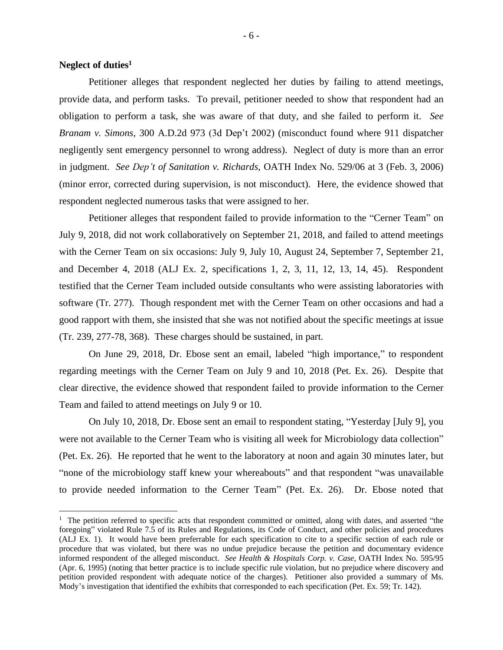# **Neglect of duties<sup>1</sup>**

Petitioner alleges that respondent neglected her duties by failing to attend meetings, provide data, and perform tasks. To prevail, petitioner needed to show that respondent had an obligation to perform a task, she was aware of that duty, and she failed to perform it. *See Branam v. Simons*, 300 A.D.2d 973 (3d Dep't 2002) (misconduct found where 911 dispatcher negligently sent emergency personnel to wrong address). Neglect of duty is more than an error in judgment. *See Dep't of Sanitation v. Richards*, OATH Index No. 529/06 at 3 (Feb. 3, 2006) (minor error, corrected during supervision, is not misconduct). Here, the evidence showed that respondent neglected numerous tasks that were assigned to her.

Petitioner alleges that respondent failed to provide information to the "Cerner Team" on July 9, 2018, did not work collaboratively on September 21, 2018, and failed to attend meetings with the Cerner Team on six occasions: July 9, July 10, August 24, September 7, September 21, and December 4, 2018 (ALJ Ex. 2, specifications 1, 2, 3, 11, 12, 13, 14, 45). Respondent testified that the Cerner Team included outside consultants who were assisting laboratories with software (Tr. 277). Though respondent met with the Cerner Team on other occasions and had a good rapport with them, she insisted that she was not notified about the specific meetings at issue (Tr. 239, 277-78, 368). These charges should be sustained, in part.

On June 29, 2018, Dr. Ebose sent an email, labeled "high importance," to respondent regarding meetings with the Cerner Team on July 9 and 10, 2018 (Pet. Ex. 26). Despite that clear directive, the evidence showed that respondent failed to provide information to the Cerner Team and failed to attend meetings on July 9 or 10.

On July 10, 2018, Dr. Ebose sent an email to respondent stating, "Yesterday [July 9], you were not available to the Cerner Team who is visiting all week for Microbiology data collection" (Pet. Ex. 26). He reported that he went to the laboratory at noon and again 30 minutes later, but "none of the microbiology staff knew your whereabouts" and that respondent "was unavailable to provide needed information to the Cerner Team" (Pet. Ex. 26). Dr. Ebose noted that

 $1$  The petition referred to specific acts that respondent committed or omitted, along with dates, and asserted "the foregoing" violated Rule 7.5 of its Rules and Regulations, its Code of Conduct, and other policies and procedures (ALJ Ex. 1). It would have been preferrable for each specification to cite to a specific section of each rule or procedure that was violated, but there was no undue prejudice because the petition and documentary evidence informed respondent of the alleged misconduct. *See Health & Hospitals Corp. v. Case*, OATH Index No. 595/95 (Apr. 6, 1995) (noting that better practice is to include specific rule violation, but no prejudice where discovery and petition provided respondent with adequate notice of the charges). Petitioner also provided a summary of Ms. Mody's investigation that identified the exhibits that corresponded to each specification (Pet. Ex. 59; Tr. 142).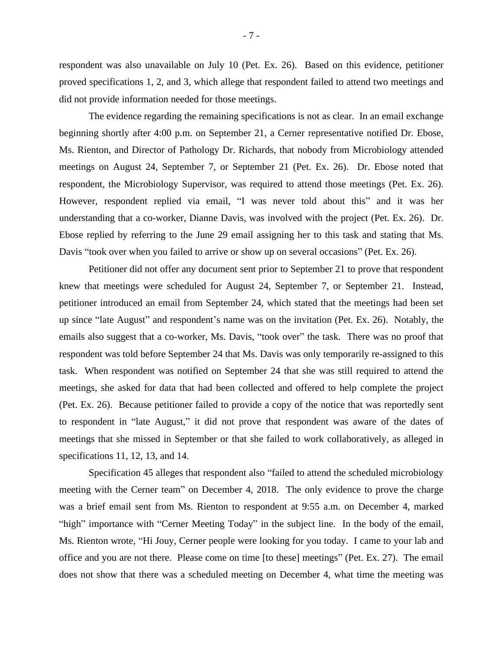respondent was also unavailable on July 10 (Pet. Ex. 26). Based on this evidence, petitioner proved specifications 1, 2, and 3, which allege that respondent failed to attend two meetings and did not provide information needed for those meetings.

The evidence regarding the remaining specifications is not as clear. In an email exchange beginning shortly after 4:00 p.m. on September 21, a Cerner representative notified Dr. Ebose, Ms. Rienton, and Director of Pathology Dr. Richards, that nobody from Microbiology attended meetings on August 24, September 7, or September 21 (Pet. Ex. 26). Dr. Ebose noted that respondent, the Microbiology Supervisor, was required to attend those meetings (Pet. Ex. 26). However, respondent replied via email, "I was never told about this" and it was her understanding that a co-worker, Dianne Davis, was involved with the project (Pet. Ex. 26). Dr. Ebose replied by referring to the June 29 email assigning her to this task and stating that Ms. Davis "took over when you failed to arrive or show up on several occasions" (Pet. Ex. 26).

Petitioner did not offer any document sent prior to September 21 to prove that respondent knew that meetings were scheduled for August 24, September 7, or September 21. Instead, petitioner introduced an email from September 24, which stated that the meetings had been set up since "late August" and respondent's name was on the invitation (Pet. Ex. 26). Notably, the emails also suggest that a co-worker, Ms. Davis, "took over" the task. There was no proof that respondent was told before September 24 that Ms. Davis was only temporarily re-assigned to this task. When respondent was notified on September 24 that she was still required to attend the meetings, she asked for data that had been collected and offered to help complete the project (Pet. Ex. 26). Because petitioner failed to provide a copy of the notice that was reportedly sent to respondent in "late August," it did not prove that respondent was aware of the dates of meetings that she missed in September or that she failed to work collaboratively, as alleged in specifications 11, 12, 13, and 14.

Specification 45 alleges that respondent also "failed to attend the scheduled microbiology meeting with the Cerner team" on December 4, 2018. The only evidence to prove the charge was a brief email sent from Ms. Rienton to respondent at 9:55 a.m. on December 4, marked "high" importance with "Cerner Meeting Today" in the subject line. In the body of the email, Ms. Rienton wrote, "Hi Jouy, Cerner people were looking for you today. I came to your lab and office and you are not there. Please come on time [to these] meetings" (Pet. Ex. 27). The email does not show that there was a scheduled meeting on December 4, what time the meeting was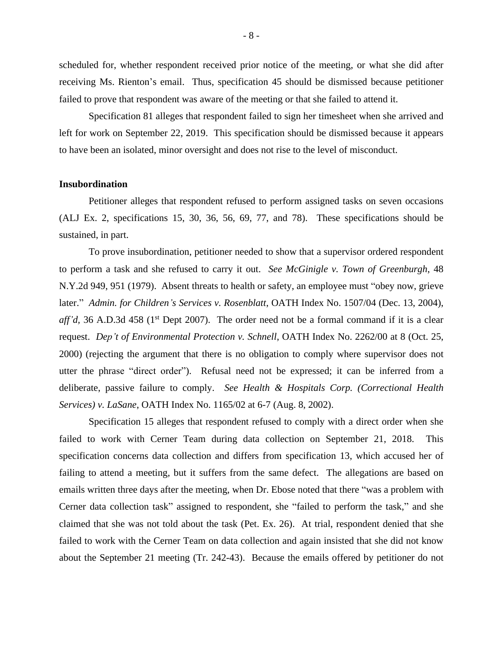scheduled for, whether respondent received prior notice of the meeting, or what she did after receiving Ms. Rienton's email. Thus, specification 45 should be dismissed because petitioner failed to prove that respondent was aware of the meeting or that she failed to attend it.

Specification 81 alleges that respondent failed to sign her timesheet when she arrived and left for work on September 22, 2019. This specification should be dismissed because it appears to have been an isolated, minor oversight and does not rise to the level of misconduct.

#### **Insubordination**

Petitioner alleges that respondent refused to perform assigned tasks on seven occasions (ALJ Ex. 2, specifications 15, 30, 36, 56, 69, 77, and 78). These specifications should be sustained, in part.

To prove insubordination, petitioner needed to show that a supervisor ordered respondent to perform a task and she refused to carry it out. *See McGinigle v. Town of Greenburgh*, 48 N.Y.2d 949, 951 (1979). Absent threats to health or safety, an employee must "obey now, grieve later." *Admin. for Children's Services v. Rosenblatt*, OATH Index No. 1507/04 (Dec. 13, 2004), *aff'd*, 36 A.D.3d 458 (1<sup>st</sup> Dept 2007). The order need not be a formal command if it is a clear request. *Dep't of Environmental Protection v. Schnell*, OATH Index No. 2262/00 at 8 (Oct. 25, 2000) (rejecting the argument that there is no obligation to comply where supervisor does not utter the phrase "direct order"). Refusal need not be expressed; it can be inferred from a deliberate, passive failure to comply. *See Health & Hospitals Corp. (Correctional Health Services) v. LaSane*, OATH Index No. 1165/02 at 6-7 (Aug. 8, 2002).

Specification 15 alleges that respondent refused to comply with a direct order when she failed to work with Cerner Team during data collection on September 21, 2018. This specification concerns data collection and differs from specification 13, which accused her of failing to attend a meeting, but it suffers from the same defect. The allegations are based on emails written three days after the meeting, when Dr. Ebose noted that there "was a problem with Cerner data collection task" assigned to respondent, she "failed to perform the task," and she claimed that she was not told about the task (Pet. Ex. 26). At trial, respondent denied that she failed to work with the Cerner Team on data collection and again insisted that she did not know about the September 21 meeting (Tr. 242-43). Because the emails offered by petitioner do not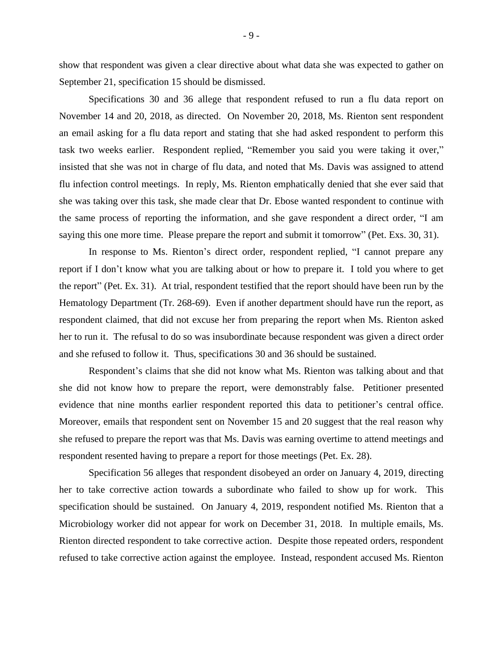show that respondent was given a clear directive about what data she was expected to gather on September 21, specification 15 should be dismissed.

Specifications 30 and 36 allege that respondent refused to run a flu data report on November 14 and 20, 2018, as directed. On November 20, 2018, Ms. Rienton sent respondent an email asking for a flu data report and stating that she had asked respondent to perform this task two weeks earlier. Respondent replied, "Remember you said you were taking it over," insisted that she was not in charge of flu data, and noted that Ms. Davis was assigned to attend flu infection control meetings. In reply, Ms. Rienton emphatically denied that she ever said that she was taking over this task, she made clear that Dr. Ebose wanted respondent to continue with the same process of reporting the information, and she gave respondent a direct order, "I am saying this one more time. Please prepare the report and submit it tomorrow" (Pet. Exs. 30, 31).

In response to Ms. Rienton's direct order, respondent replied, "I cannot prepare any report if I don't know what you are talking about or how to prepare it. I told you where to get the report" (Pet. Ex. 31). At trial, respondent testified that the report should have been run by the Hematology Department (Tr. 268-69). Even if another department should have run the report, as respondent claimed, that did not excuse her from preparing the report when Ms. Rienton asked her to run it. The refusal to do so was insubordinate because respondent was given a direct order and she refused to follow it. Thus, specifications 30 and 36 should be sustained.

Respondent's claims that she did not know what Ms. Rienton was talking about and that she did not know how to prepare the report, were demonstrably false. Petitioner presented evidence that nine months earlier respondent reported this data to petitioner's central office. Moreover, emails that respondent sent on November 15 and 20 suggest that the real reason why she refused to prepare the report was that Ms. Davis was earning overtime to attend meetings and respondent resented having to prepare a report for those meetings (Pet. Ex. 28).

Specification 56 alleges that respondent disobeyed an order on January 4, 2019, directing her to take corrective action towards a subordinate who failed to show up for work. This specification should be sustained. On January 4, 2019, respondent notified Ms. Rienton that a Microbiology worker did not appear for work on December 31, 2018. In multiple emails, Ms. Rienton directed respondent to take corrective action. Despite those repeated orders, respondent refused to take corrective action against the employee. Instead, respondent accused Ms. Rienton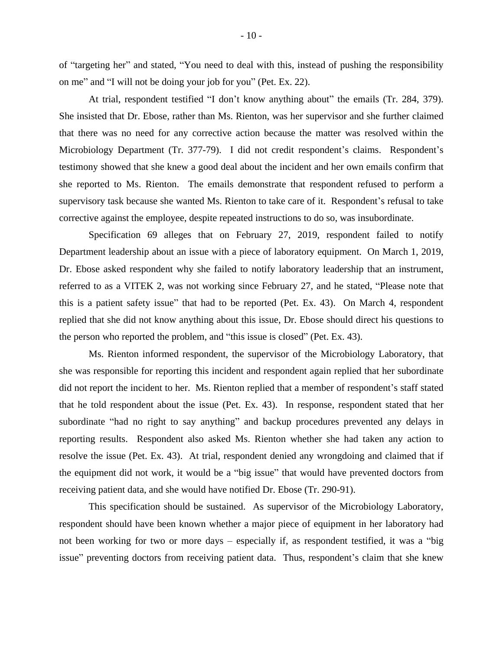of "targeting her" and stated, "You need to deal with this, instead of pushing the responsibility on me" and "I will not be doing your job for you" (Pet. Ex. 22).

At trial, respondent testified "I don't know anything about" the emails (Tr. 284, 379). She insisted that Dr. Ebose, rather than Ms. Rienton, was her supervisor and she further claimed that there was no need for any corrective action because the matter was resolved within the Microbiology Department (Tr. 377-79). I did not credit respondent's claims. Respondent's testimony showed that she knew a good deal about the incident and her own emails confirm that she reported to Ms. Rienton. The emails demonstrate that respondent refused to perform a supervisory task because she wanted Ms. Rienton to take care of it. Respondent's refusal to take corrective against the employee, despite repeated instructions to do so, was insubordinate.

Specification 69 alleges that on February 27, 2019, respondent failed to notify Department leadership about an issue with a piece of laboratory equipment. On March 1, 2019, Dr. Ebose asked respondent why she failed to notify laboratory leadership that an instrument, referred to as a VITEK 2, was not working since February 27, and he stated, "Please note that this is a patient safety issue" that had to be reported (Pet. Ex. 43). On March 4, respondent replied that she did not know anything about this issue, Dr. Ebose should direct his questions to the person who reported the problem, and "this issue is closed" (Pet. Ex. 43).

Ms. Rienton informed respondent, the supervisor of the Microbiology Laboratory, that she was responsible for reporting this incident and respondent again replied that her subordinate did not report the incident to her. Ms. Rienton replied that a member of respondent's staff stated that he told respondent about the issue (Pet. Ex. 43). In response, respondent stated that her subordinate "had no right to say anything" and backup procedures prevented any delays in reporting results. Respondent also asked Ms. Rienton whether she had taken any action to resolve the issue (Pet. Ex. 43). At trial, respondent denied any wrongdoing and claimed that if the equipment did not work, it would be a "big issue" that would have prevented doctors from receiving patient data, and she would have notified Dr. Ebose (Tr. 290-91).

This specification should be sustained. As supervisor of the Microbiology Laboratory, respondent should have been known whether a major piece of equipment in her laboratory had not been working for two or more days – especially if, as respondent testified, it was a "big issue" preventing doctors from receiving patient data. Thus, respondent's claim that she knew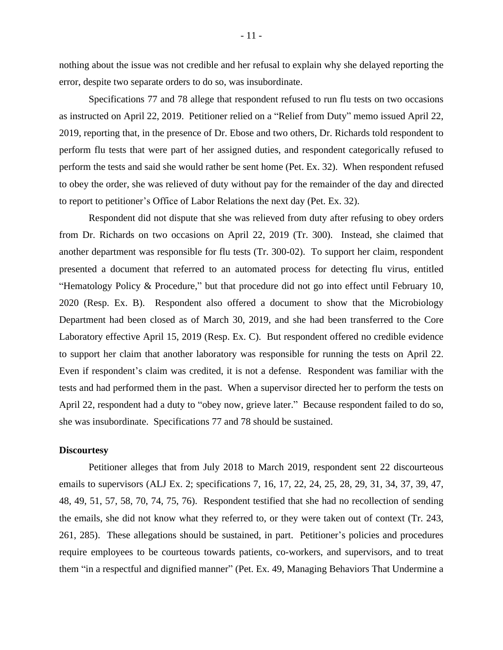nothing about the issue was not credible and her refusal to explain why she delayed reporting the error, despite two separate orders to do so, was insubordinate.

Specifications 77 and 78 allege that respondent refused to run flu tests on two occasions as instructed on April 22, 2019. Petitioner relied on a "Relief from Duty" memo issued April 22, 2019, reporting that, in the presence of Dr. Ebose and two others, Dr. Richards told respondent to perform flu tests that were part of her assigned duties, and respondent categorically refused to perform the tests and said she would rather be sent home (Pet. Ex. 32). When respondent refused to obey the order, she was relieved of duty without pay for the remainder of the day and directed to report to petitioner's Office of Labor Relations the next day (Pet. Ex. 32).

Respondent did not dispute that she was relieved from duty after refusing to obey orders from Dr. Richards on two occasions on April 22, 2019 (Tr. 300). Instead, she claimed that another department was responsible for flu tests (Tr. 300-02). To support her claim, respondent presented a document that referred to an automated process for detecting flu virus, entitled "Hematology Policy & Procedure," but that procedure did not go into effect until February 10, 2020 (Resp. Ex. B). Respondent also offered a document to show that the Microbiology Department had been closed as of March 30, 2019, and she had been transferred to the Core Laboratory effective April 15, 2019 (Resp. Ex. C). But respondent offered no credible evidence to support her claim that another laboratory was responsible for running the tests on April 22. Even if respondent's claim was credited, it is not a defense. Respondent was familiar with the tests and had performed them in the past. When a supervisor directed her to perform the tests on April 22, respondent had a duty to "obey now, grieve later." Because respondent failed to do so, she was insubordinate. Specifications 77 and 78 should be sustained.

#### **Discourtesy**

Petitioner alleges that from July 2018 to March 2019, respondent sent 22 discourteous emails to supervisors (ALJ Ex. 2; specifications 7, 16, 17, 22, 24, 25, 28, 29, 31, 34, 37, 39, 47, 48, 49, 51, 57, 58, 70, 74, 75, 76). Respondent testified that she had no recollection of sending the emails, she did not know what they referred to, or they were taken out of context (Tr. 243, 261, 285). These allegations should be sustained, in part. Petitioner's policies and procedures require employees to be courteous towards patients, co-workers, and supervisors, and to treat them "in a respectful and dignified manner" (Pet. Ex. 49, Managing Behaviors That Undermine a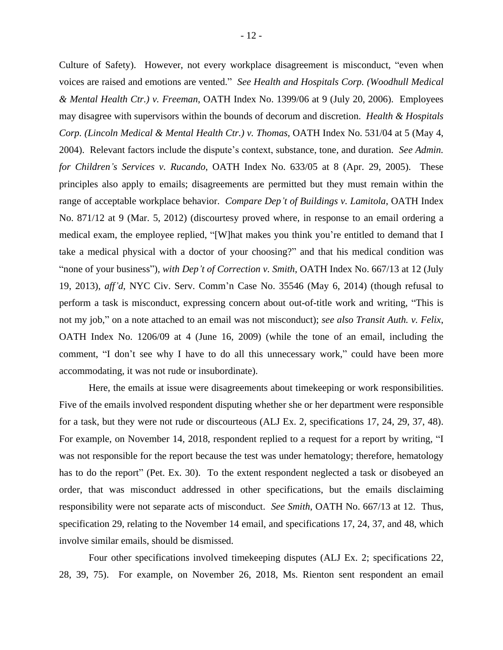Culture of Safety). However, not every workplace disagreement is misconduct, "even when voices are raised and emotions are vented." *See Health and Hospitals Corp. (Woodhull Medical & Mental Health Ctr.) v. Freeman*, OATH Index No. 1399/06 at 9 (July 20, 2006). Employees may disagree with supervisors within the bounds of decorum and discretion. *Health & Hospitals Corp. (Lincoln Medical & Mental Health Ctr.) v. Thomas*, OATH Index No. 531/04 at 5 (May 4, 2004). Relevant factors include the dispute's context, substance, tone, and duration. *See Admin. for Children's Services v. Rucando*, OATH Index No. 633/05 at 8 (Apr. 29, 2005). These principles also apply to emails; disagreements are permitted but they must remain within the range of acceptable workplace behavior. *Compare Dep't of Buildings v. Lamitola*, OATH Index No. 871/12 at 9 (Mar. 5, 2012) (discourtesy proved where, in response to an email ordering a medical exam, the employee replied, "[W]hat makes you think you're entitled to demand that I take a medical physical with a doctor of your choosing?" and that his medical condition was "none of your business"), *with Dep't of Correction v. Smith*, OATH Index No. 667/13 at 12 (July 19, 2013), *aff'd*, NYC Civ. Serv. Comm'n Case No. 35546 (May 6, 2014) (though refusal to perform a task is misconduct, expressing concern about out-of-title work and writing, "This is not my job," on a note attached to an email was not misconduct); *see also Transit Auth. v. Felix*, OATH Index No. 1206/09 at 4 (June 16, 2009) (while the tone of an email, including the comment, "I don't see why I have to do all this unnecessary work," could have been more accommodating, it was not rude or insubordinate).

Here, the emails at issue were disagreements about timekeeping or work responsibilities. Five of the emails involved respondent disputing whether she or her department were responsible for a task, but they were not rude or discourteous (ALJ Ex. 2, specifications 17, 24, 29, 37, 48). For example, on November 14, 2018, respondent replied to a request for a report by writing, "I was not responsible for the report because the test was under hematology; therefore, hematology has to do the report" (Pet. Ex. 30). To the extent respondent neglected a task or disobeyed an order, that was misconduct addressed in other specifications, but the emails disclaiming responsibility were not separate acts of misconduct. *See Smith*, OATH No. 667/13 at 12. Thus, specification 29, relating to the November 14 email, and specifications 17, 24, 37, and 48, which involve similar emails, should be dismissed.

Four other specifications involved timekeeping disputes (ALJ Ex. 2; specifications 22, 28, 39, 75). For example, on November 26, 2018, Ms. Rienton sent respondent an email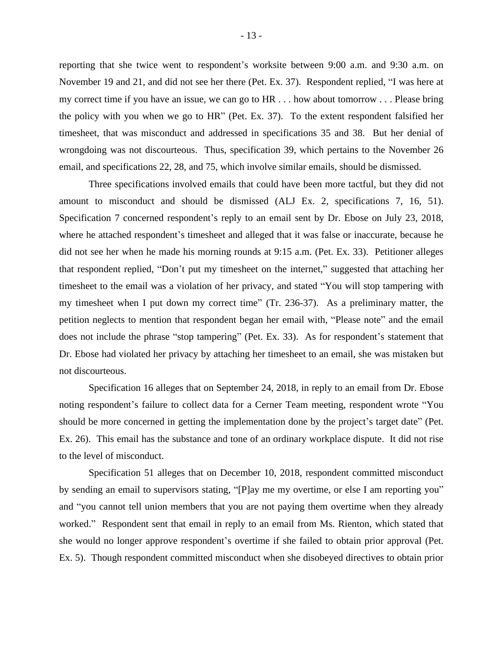reporting that she twice went to respondent's worksite between 9:00 a.m. and 9:30 a.m. on November 19 and 21, and did not see her there (Pet. Ex. 37). Respondent replied, "I was here at my correct time if you have an issue, we can go to HR . . . how about tomorrow . . . Please bring the policy with you when we go to HR" (Pet. Ex. 37). To the extent respondent falsified her timesheet, that was misconduct and addressed in specifications 35 and 38. But her denial of wrongdoing was not discourteous. Thus, specification 39, which pertains to the November 26 email, and specifications 22, 28, and 75, which involve similar emails, should be dismissed.

Three specifications involved emails that could have been more tactful, but they did not amount to misconduct and should be dismissed (ALJ Ex. 2, specifications 7, 16, 51). Specification 7 concerned respondent's reply to an email sent by Dr. Ebose on July 23, 2018, where he attached respondent's timesheet and alleged that it was false or inaccurate, because he did not see her when he made his morning rounds at 9:15 a.m. (Pet. Ex. 33). Petitioner alleges that respondent replied, "Don't put my timesheet on the internet," suggested that attaching her timesheet to the email was a violation of her privacy, and stated "You will stop tampering with my timesheet when I put down my correct time" (Tr. 236-37). As a preliminary matter, the petition neglects to mention that respondent began her email with, "Please note" and the email does not include the phrase "stop tampering" (Pet. Ex. 33). As for respondent's statement that Dr. Ebose had violated her privacy by attaching her timesheet to an email, she was mistaken but not discourteous.

Specification 16 alleges that on September 24, 2018, in reply to an email from Dr. Ebose noting respondent's failure to collect data for a Cerner Team meeting, respondent wrote "You should be more concerned in getting the implementation done by the project's target date" (Pet. Ex. 26). This email has the substance and tone of an ordinary workplace dispute. It did not rise to the level of misconduct.

Specification 51 alleges that on December 10, 2018, respondent committed misconduct by sending an email to supervisors stating, "[P]ay me my overtime, or else I am reporting you" and "you cannot tell union members that you are not paying them overtime when they already worked." Respondent sent that email in reply to an email from Ms. Rienton, which stated that she would no longer approve respondent's overtime if she failed to obtain prior approval (Pet. Ex. 5). Though respondent committed misconduct when she disobeyed directives to obtain prior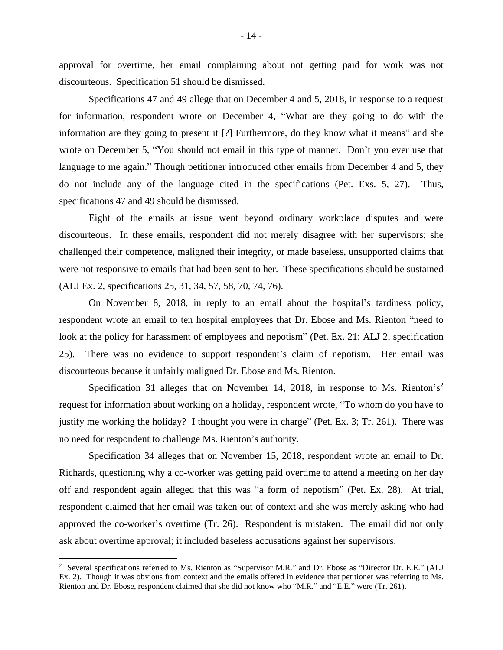approval for overtime, her email complaining about not getting paid for work was not discourteous. Specification 51 should be dismissed.

Specifications 47 and 49 allege that on December 4 and 5, 2018, in response to a request for information, respondent wrote on December 4, "What are they going to do with the information are they going to present it [?] Furthermore, do they know what it means" and she wrote on December 5, "You should not email in this type of manner. Don't you ever use that language to me again." Though petitioner introduced other emails from December 4 and 5, they do not include any of the language cited in the specifications (Pet. Exs. 5, 27). Thus, specifications 47 and 49 should be dismissed.

Eight of the emails at issue went beyond ordinary workplace disputes and were discourteous. In these emails, respondent did not merely disagree with her supervisors; she challenged their competence, maligned their integrity, or made baseless, unsupported claims that were not responsive to emails that had been sent to her. These specifications should be sustained (ALJ Ex. 2, specifications 25, 31, 34, 57, 58, 70, 74, 76).

On November 8, 2018, in reply to an email about the hospital's tardiness policy, respondent wrote an email to ten hospital employees that Dr. Ebose and Ms. Rienton "need to look at the policy for harassment of employees and nepotism" (Pet. Ex. 21; ALJ 2, specification 25). There was no evidence to support respondent's claim of nepotism. Her email was discourteous because it unfairly maligned Dr. Ebose and Ms. Rienton.

Specification 31 alleges that on November 14, 2018, in response to Ms. Rienton's<sup>2</sup> request for information about working on a holiday, respondent wrote, "To whom do you have to justify me working the holiday? I thought you were in charge" (Pet. Ex. 3; Tr. 261). There was no need for respondent to challenge Ms. Rienton's authority.

Specification 34 alleges that on November 15, 2018, respondent wrote an email to Dr. Richards, questioning why a co-worker was getting paid overtime to attend a meeting on her day off and respondent again alleged that this was "a form of nepotism" (Pet. Ex. 28). At trial, respondent claimed that her email was taken out of context and she was merely asking who had approved the co-worker's overtime (Tr. 26). Respondent is mistaken. The email did not only ask about overtime approval; it included baseless accusations against her supervisors.

<sup>&</sup>lt;sup>2</sup> Several specifications referred to Ms. Rienton as "Supervisor M.R." and Dr. Ebose as "Director Dr. E.E." (ALJ Ex. 2). Though it was obvious from context and the emails offered in evidence that petitioner was referring to Ms. Rienton and Dr. Ebose, respondent claimed that she did not know who "M.R." and "E.E." were (Tr. 261).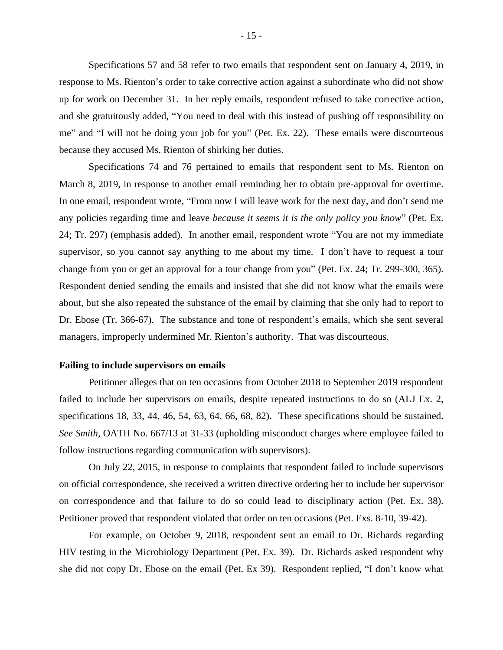Specifications 57 and 58 refer to two emails that respondent sent on January 4, 2019, in response to Ms. Rienton's order to take corrective action against a subordinate who did not show up for work on December 31. In her reply emails, respondent refused to take corrective action, and she gratuitously added, "You need to deal with this instead of pushing off responsibility on me" and "I will not be doing your job for you" (Pet. Ex. 22). These emails were discourteous because they accused Ms. Rienton of shirking her duties.

Specifications 74 and 76 pertained to emails that respondent sent to Ms. Rienton on March 8, 2019, in response to another email reminding her to obtain pre-approval for overtime. In one email, respondent wrote, "From now I will leave work for the next day, and don't send me any policies regarding time and leave *because it seems it is the only policy you know*" (Pet. Ex. 24; Tr. 297) (emphasis added). In another email, respondent wrote "You are not my immediate supervisor, so you cannot say anything to me about my time. I don't have to request a tour change from you or get an approval for a tour change from you" (Pet. Ex. 24; Tr. 299-300, 365). Respondent denied sending the emails and insisted that she did not know what the emails were about, but she also repeated the substance of the email by claiming that she only had to report to Dr. Ebose (Tr. 366-67). The substance and tone of respondent's emails, which she sent several managers, improperly undermined Mr. Rienton's authority. That was discourteous.

# **Failing to include supervisors on emails**

Petitioner alleges that on ten occasions from October 2018 to September 2019 respondent failed to include her supervisors on emails, despite repeated instructions to do so (ALJ Ex. 2, specifications 18, 33, 44, 46, 54, 63, 64, 66, 68, 82). These specifications should be sustained. *See Smith*, OATH No. 667/13 at 31-33 (upholding misconduct charges where employee failed to follow instructions regarding communication with supervisors).

On July 22, 2015, in response to complaints that respondent failed to include supervisors on official correspondence, she received a written directive ordering her to include her supervisor on correspondence and that failure to do so could lead to disciplinary action (Pet. Ex. 38). Petitioner proved that respondent violated that order on ten occasions (Pet. Exs. 8-10, 39-42).

For example, on October 9, 2018, respondent sent an email to Dr. Richards regarding HIV testing in the Microbiology Department (Pet. Ex. 39). Dr. Richards asked respondent why she did not copy Dr. Ebose on the email (Pet. Ex 39). Respondent replied, "I don't know what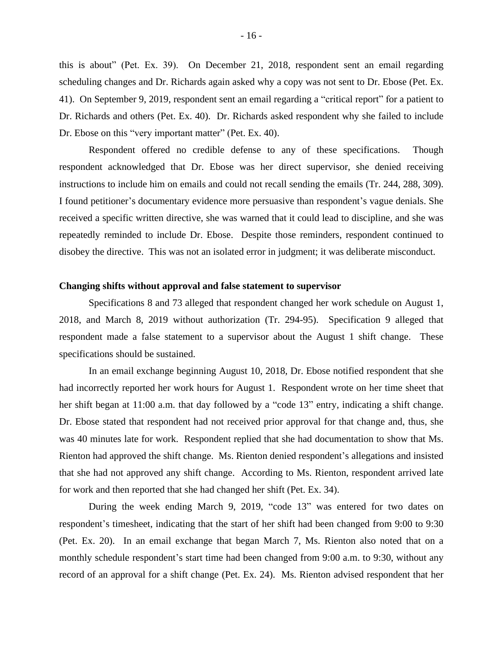this is about" (Pet. Ex. 39). On December 21, 2018, respondent sent an email regarding scheduling changes and Dr. Richards again asked why a copy was not sent to Dr. Ebose (Pet. Ex. 41). On September 9, 2019, respondent sent an email regarding a "critical report" for a patient to Dr. Richards and others (Pet. Ex. 40). Dr. Richards asked respondent why she failed to include Dr. Ebose on this "very important matter" (Pet. Ex. 40).

Respondent offered no credible defense to any of these specifications. Though respondent acknowledged that Dr. Ebose was her direct supervisor, she denied receiving instructions to include him on emails and could not recall sending the emails (Tr. 244, 288, 309). I found petitioner's documentary evidence more persuasive than respondent's vague denials. She received a specific written directive, she was warned that it could lead to discipline, and she was repeatedly reminded to include Dr. Ebose. Despite those reminders, respondent continued to disobey the directive. This was not an isolated error in judgment; it was deliberate misconduct.

### **Changing shifts without approval and false statement to supervisor**

Specifications 8 and 73 alleged that respondent changed her work schedule on August 1, 2018, and March 8, 2019 without authorization (Tr. 294-95). Specification 9 alleged that respondent made a false statement to a supervisor about the August 1 shift change. These specifications should be sustained.

In an email exchange beginning August 10, 2018, Dr. Ebose notified respondent that she had incorrectly reported her work hours for August 1. Respondent wrote on her time sheet that her shift began at 11:00 a.m. that day followed by a "code 13" entry, indicating a shift change. Dr. Ebose stated that respondent had not received prior approval for that change and, thus, she was 40 minutes late for work. Respondent replied that she had documentation to show that Ms. Rienton had approved the shift change. Ms. Rienton denied respondent's allegations and insisted that she had not approved any shift change. According to Ms. Rienton, respondent arrived late for work and then reported that she had changed her shift (Pet. Ex. 34).

During the week ending March 9, 2019, "code 13" was entered for two dates on respondent's timesheet, indicating that the start of her shift had been changed from 9:00 to 9:30 (Pet. Ex. 20). In an email exchange that began March 7, Ms. Rienton also noted that on a monthly schedule respondent's start time had been changed from 9:00 a.m. to 9:30, without any record of an approval for a shift change (Pet. Ex. 24). Ms. Rienton advised respondent that her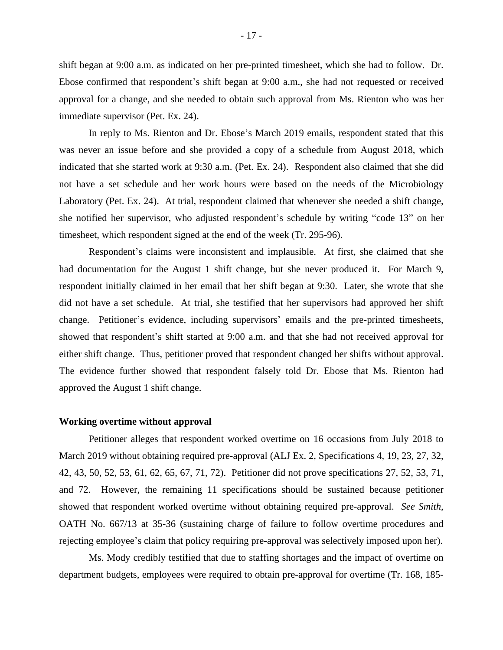shift began at 9:00 a.m. as indicated on her pre-printed timesheet, which she had to follow. Dr. Ebose confirmed that respondent's shift began at 9:00 a.m., she had not requested or received approval for a change, and she needed to obtain such approval from Ms. Rienton who was her immediate supervisor (Pet. Ex. 24).

In reply to Ms. Rienton and Dr. Ebose's March 2019 emails, respondent stated that this was never an issue before and she provided a copy of a schedule from August 2018, which indicated that she started work at 9:30 a.m. (Pet. Ex. 24). Respondent also claimed that she did not have a set schedule and her work hours were based on the needs of the Microbiology Laboratory (Pet. Ex. 24). At trial, respondent claimed that whenever she needed a shift change, she notified her supervisor, who adjusted respondent's schedule by writing "code 13" on her timesheet, which respondent signed at the end of the week (Tr. 295-96).

Respondent's claims were inconsistent and implausible. At first, she claimed that she had documentation for the August 1 shift change, but she never produced it. For March 9, respondent initially claimed in her email that her shift began at 9:30. Later, she wrote that she did not have a set schedule. At trial, she testified that her supervisors had approved her shift change. Petitioner's evidence, including supervisors' emails and the pre-printed timesheets, showed that respondent's shift started at 9:00 a.m. and that she had not received approval for either shift change. Thus, petitioner proved that respondent changed her shifts without approval. The evidence further showed that respondent falsely told Dr. Ebose that Ms. Rienton had approved the August 1 shift change.

#### **Working overtime without approval**

Petitioner alleges that respondent worked overtime on 16 occasions from July 2018 to March 2019 without obtaining required pre-approval (ALJ Ex. 2, Specifications 4, 19, 23, 27, 32, 42, 43, 50, 52, 53, 61, 62, 65, 67, 71, 72). Petitioner did not prove specifications 27, 52, 53, 71, and 72. However, the remaining 11 specifications should be sustained because petitioner showed that respondent worked overtime without obtaining required pre-approval. *See Smith*, OATH No. 667/13 at 35-36 (sustaining charge of failure to follow overtime procedures and rejecting employee's claim that policy requiring pre-approval was selectively imposed upon her).

Ms. Mody credibly testified that due to staffing shortages and the impact of overtime on department budgets, employees were required to obtain pre-approval for overtime (Tr. 168, 185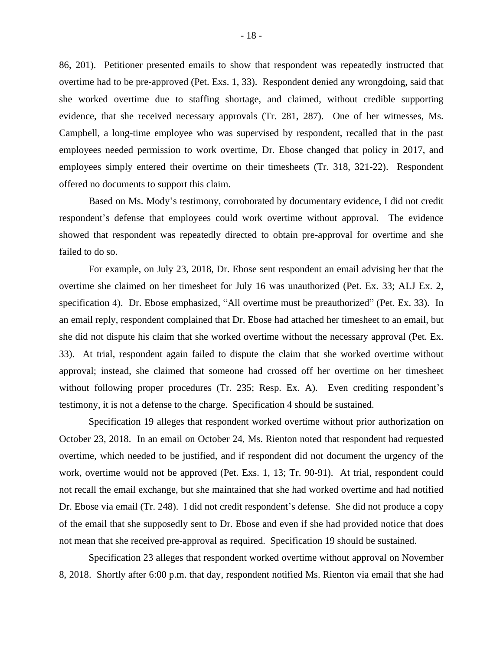86, 201). Petitioner presented emails to show that respondent was repeatedly instructed that overtime had to be pre-approved (Pet. Exs. 1, 33). Respondent denied any wrongdoing, said that she worked overtime due to staffing shortage, and claimed, without credible supporting evidence, that she received necessary approvals (Tr. 281, 287). One of her witnesses, Ms. Campbell, a long-time employee who was supervised by respondent, recalled that in the past employees needed permission to work overtime, Dr. Ebose changed that policy in 2017, and employees simply entered their overtime on their timesheets (Tr. 318, 321-22). Respondent offered no documents to support this claim.

Based on Ms. Mody's testimony, corroborated by documentary evidence, I did not credit respondent's defense that employees could work overtime without approval. The evidence showed that respondent was repeatedly directed to obtain pre-approval for overtime and she failed to do so.

For example, on July 23, 2018, Dr. Ebose sent respondent an email advising her that the overtime she claimed on her timesheet for July 16 was unauthorized (Pet. Ex. 33; ALJ Ex. 2, specification 4). Dr. Ebose emphasized, "All overtime must be preauthorized" (Pet. Ex. 33). In an email reply, respondent complained that Dr. Ebose had attached her timesheet to an email, but she did not dispute his claim that she worked overtime without the necessary approval (Pet. Ex. 33). At trial, respondent again failed to dispute the claim that she worked overtime without approval; instead, she claimed that someone had crossed off her overtime on her timesheet without following proper procedures (Tr. 235; Resp. Ex. A). Even crediting respondent's testimony, it is not a defense to the charge. Specification 4 should be sustained.

Specification 19 alleges that respondent worked overtime without prior authorization on October 23, 2018. In an email on October 24, Ms. Rienton noted that respondent had requested overtime, which needed to be justified, and if respondent did not document the urgency of the work, overtime would not be approved (Pet. Exs. 1, 13; Tr. 90-91). At trial, respondent could not recall the email exchange, but she maintained that she had worked overtime and had notified Dr. Ebose via email (Tr. 248). I did not credit respondent's defense. She did not produce a copy of the email that she supposedly sent to Dr. Ebose and even if she had provided notice that does not mean that she received pre-approval as required. Specification 19 should be sustained.

Specification 23 alleges that respondent worked overtime without approval on November 8, 2018. Shortly after 6:00 p.m. that day, respondent notified Ms. Rienton via email that she had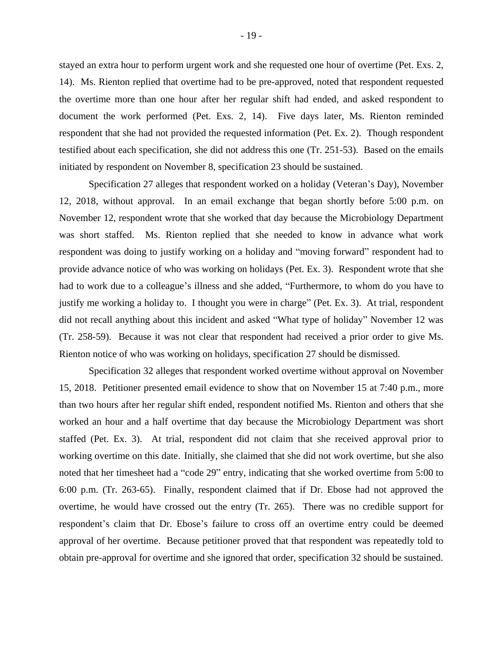stayed an extra hour to perform urgent work and she requested one hour of overtime (Pet. Exs. 2, 14). Ms. Rienton replied that overtime had to be pre-approved, noted that respondent requested the overtime more than one hour after her regular shift had ended, and asked respondent to document the work performed (Pet. Exs. 2, 14). Five days later, Ms. Rienton reminded respondent that she had not provided the requested information (Pet. Ex. 2). Though respondent testified about each specification, she did not address this one (Tr. 251-53). Based on the emails initiated by respondent on November 8, specification 23 should be sustained.

Specification 27 alleges that respondent worked on a holiday (Veteran's Day), November 12, 2018, without approval. In an email exchange that began shortly before 5:00 p.m. on November 12, respondent wrote that she worked that day because the Microbiology Department was short staffed. Ms. Rienton replied that she needed to know in advance what work respondent was doing to justify working on a holiday and "moving forward" respondent had to provide advance notice of who was working on holidays (Pet. Ex. 3). Respondent wrote that she had to work due to a colleague's illness and she added, "Furthermore, to whom do you have to justify me working a holiday to. I thought you were in charge" (Pet. Ex. 3). At trial, respondent did not recall anything about this incident and asked "What type of holiday" November 12 was (Tr. 258-59). Because it was not clear that respondent had received a prior order to give Ms. Rienton notice of who was working on holidays, specification 27 should be dismissed.

Specification 32 alleges that respondent worked overtime without approval on November 15, 2018. Petitioner presented email evidence to show that on November 15 at 7:40 p.m., more than two hours after her regular shift ended, respondent notified Ms. Rienton and others that she worked an hour and a half overtime that day because the Microbiology Department was short staffed (Pet. Ex. 3). At trial, respondent did not claim that she received approval prior to working overtime on this date. Initially, she claimed that she did not work overtime, but she also noted that her timesheet had a "code 29" entry, indicating that she worked overtime from 5:00 to 6:00 p.m. (Tr. 263-65). Finally, respondent claimed that if Dr. Ebose had not approved the overtime, he would have crossed out the entry (Tr. 265). There was no credible support for respondent's claim that Dr. Ebose's failure to cross off an overtime entry could be deemed approval of her overtime. Because petitioner proved that that respondent was repeatedly told to obtain pre-approval for overtime and she ignored that order, specification 32 should be sustained.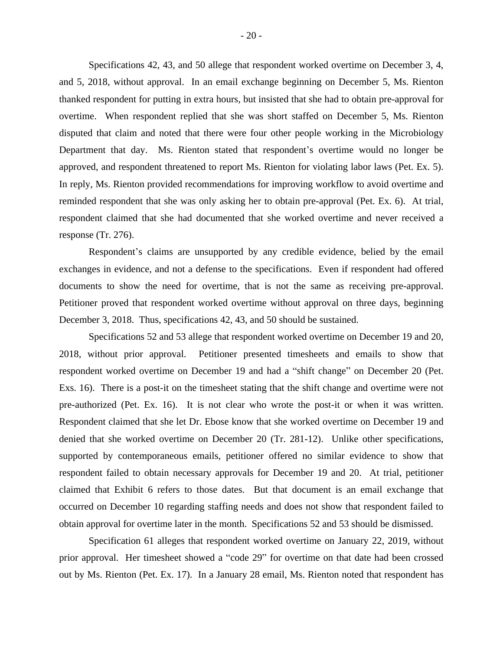Specifications 42, 43, and 50 allege that respondent worked overtime on December 3, 4, and 5, 2018, without approval. In an email exchange beginning on December 5, Ms. Rienton thanked respondent for putting in extra hours, but insisted that she had to obtain pre-approval for overtime. When respondent replied that she was short staffed on December 5, Ms. Rienton disputed that claim and noted that there were four other people working in the Microbiology Department that day. Ms. Rienton stated that respondent's overtime would no longer be approved, and respondent threatened to report Ms. Rienton for violating labor laws (Pet. Ex. 5). In reply, Ms. Rienton provided recommendations for improving workflow to avoid overtime and reminded respondent that she was only asking her to obtain pre-approval (Pet. Ex. 6). At trial, respondent claimed that she had documented that she worked overtime and never received a response (Tr. 276).

Respondent's claims are unsupported by any credible evidence, belied by the email exchanges in evidence, and not a defense to the specifications. Even if respondent had offered documents to show the need for overtime, that is not the same as receiving pre-approval. Petitioner proved that respondent worked overtime without approval on three days, beginning December 3, 2018. Thus, specifications 42, 43, and 50 should be sustained.

Specifications 52 and 53 allege that respondent worked overtime on December 19 and 20, 2018, without prior approval. Petitioner presented timesheets and emails to show that respondent worked overtime on December 19 and had a "shift change" on December 20 (Pet. Exs. 16). There is a post-it on the timesheet stating that the shift change and overtime were not pre-authorized (Pet. Ex. 16). It is not clear who wrote the post-it or when it was written. Respondent claimed that she let Dr. Ebose know that she worked overtime on December 19 and denied that she worked overtime on December 20 (Tr. 281-12). Unlike other specifications, supported by contemporaneous emails, petitioner offered no similar evidence to show that respondent failed to obtain necessary approvals for December 19 and 20. At trial, petitioner claimed that Exhibit 6 refers to those dates. But that document is an email exchange that occurred on December 10 regarding staffing needs and does not show that respondent failed to obtain approval for overtime later in the month. Specifications 52 and 53 should be dismissed.

Specification 61 alleges that respondent worked overtime on January 22, 2019, without prior approval. Her timesheet showed a "code 29" for overtime on that date had been crossed out by Ms. Rienton (Pet. Ex. 17). In a January 28 email, Ms. Rienton noted that respondent has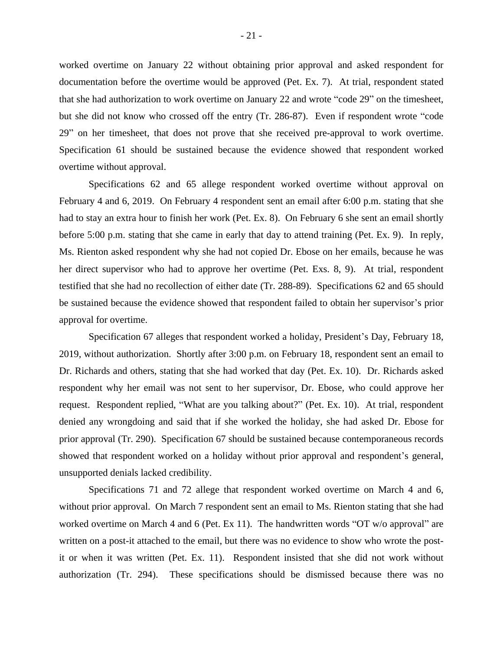worked overtime on January 22 without obtaining prior approval and asked respondent for documentation before the overtime would be approved (Pet. Ex. 7). At trial, respondent stated that she had authorization to work overtime on January 22 and wrote "code 29" on the timesheet, but she did not know who crossed off the entry (Tr. 286-87). Even if respondent wrote "code 29" on her timesheet, that does not prove that she received pre-approval to work overtime. Specification 61 should be sustained because the evidence showed that respondent worked overtime without approval.

Specifications 62 and 65 allege respondent worked overtime without approval on February 4 and 6, 2019. On February 4 respondent sent an email after 6:00 p.m. stating that she had to stay an extra hour to finish her work (Pet. Ex. 8). On February 6 she sent an email shortly before 5:00 p.m. stating that she came in early that day to attend training (Pet. Ex. 9). In reply, Ms. Rienton asked respondent why she had not copied Dr. Ebose on her emails, because he was her direct supervisor who had to approve her overtime (Pet. Exs. 8, 9). At trial, respondent testified that she had no recollection of either date (Tr. 288-89). Specifications 62 and 65 should be sustained because the evidence showed that respondent failed to obtain her supervisor's prior approval for overtime.

Specification 67 alleges that respondent worked a holiday, President's Day, February 18, 2019, without authorization. Shortly after 3:00 p.m. on February 18, respondent sent an email to Dr. Richards and others, stating that she had worked that day (Pet. Ex. 10). Dr. Richards asked respondent why her email was not sent to her supervisor, Dr. Ebose, who could approve her request. Respondent replied, "What are you talking about?" (Pet. Ex. 10). At trial, respondent denied any wrongdoing and said that if she worked the holiday, she had asked Dr. Ebose for prior approval (Tr. 290). Specification 67 should be sustained because contemporaneous records showed that respondent worked on a holiday without prior approval and respondent's general, unsupported denials lacked credibility.

Specifications 71 and 72 allege that respondent worked overtime on March 4 and 6, without prior approval. On March 7 respondent sent an email to Ms. Rienton stating that she had worked overtime on March 4 and 6 (Pet. Ex 11). The handwritten words "OT w/o approval" are written on a post-it attached to the email, but there was no evidence to show who wrote the postit or when it was written (Pet. Ex. 11). Respondent insisted that she did not work without authorization (Tr. 294). These specifications should be dismissed because there was no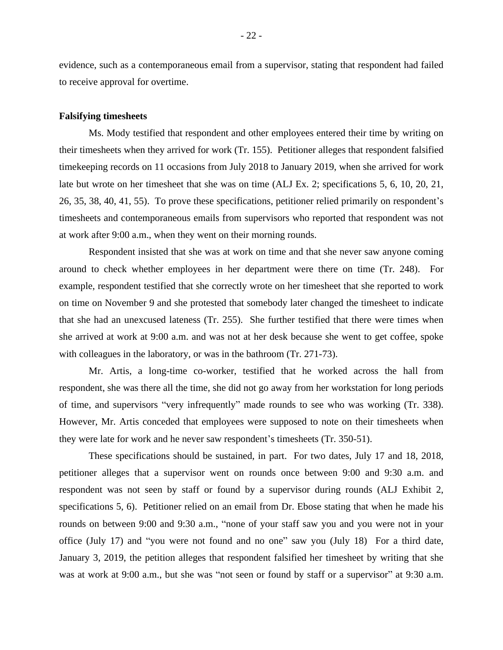evidence, such as a contemporaneous email from a supervisor, stating that respondent had failed to receive approval for overtime.

### **Falsifying timesheets**

Ms. Mody testified that respondent and other employees entered their time by writing on their timesheets when they arrived for work (Tr. 155). Petitioner alleges that respondent falsified timekeeping records on 11 occasions from July 2018 to January 2019, when she arrived for work late but wrote on her timesheet that she was on time (ALJ Ex. 2; specifications 5, 6, 10, 20, 21, 26, 35, 38, 40, 41, 55). To prove these specifications, petitioner relied primarily on respondent's timesheets and contemporaneous emails from supervisors who reported that respondent was not at work after 9:00 a.m., when they went on their morning rounds.

Respondent insisted that she was at work on time and that she never saw anyone coming around to check whether employees in her department were there on time (Tr. 248). For example, respondent testified that she correctly wrote on her timesheet that she reported to work on time on November 9 and she protested that somebody later changed the timesheet to indicate that she had an unexcused lateness (Tr. 255). She further testified that there were times when she arrived at work at 9:00 a.m. and was not at her desk because she went to get coffee, spoke with colleagues in the laboratory, or was in the bathroom (Tr. 271-73).

Mr. Artis, a long-time co-worker, testified that he worked across the hall from respondent, she was there all the time, she did not go away from her workstation for long periods of time, and supervisors "very infrequently" made rounds to see who was working (Tr. 338). However, Mr. Artis conceded that employees were supposed to note on their timesheets when they were late for work and he never saw respondent's timesheets (Tr. 350-51).

These specifications should be sustained, in part. For two dates, July 17 and 18, 2018, petitioner alleges that a supervisor went on rounds once between 9:00 and 9:30 a.m. and respondent was not seen by staff or found by a supervisor during rounds (ALJ Exhibit 2, specifications 5, 6). Petitioner relied on an email from Dr. Ebose stating that when he made his rounds on between 9:00 and 9:30 a.m., "none of your staff saw you and you were not in your office (July 17) and "you were not found and no one" saw you (July 18) For a third date, January 3, 2019, the petition alleges that respondent falsified her timesheet by writing that she was at work at 9:00 a.m., but she was "not seen or found by staff or a supervisor" at 9:30 a.m.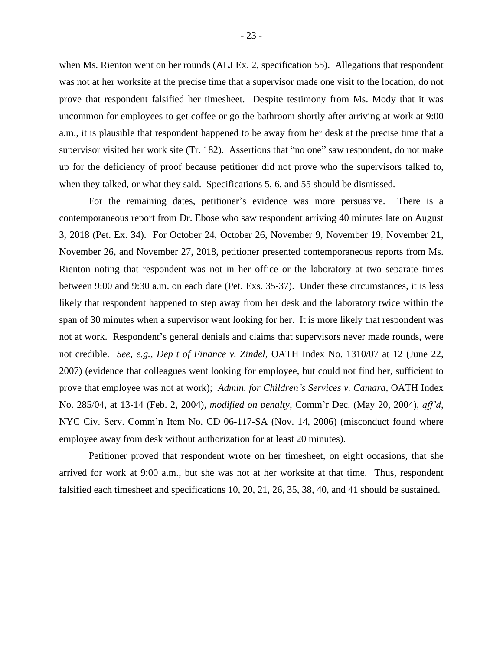when Ms. Rienton went on her rounds (ALJ Ex. 2, specification 55). Allegations that respondent was not at her worksite at the precise time that a supervisor made one visit to the location, do not prove that respondent falsified her timesheet. Despite testimony from Ms. Mody that it was uncommon for employees to get coffee or go the bathroom shortly after arriving at work at 9:00 a.m., it is plausible that respondent happened to be away from her desk at the precise time that a supervisor visited her work site (Tr. 182). Assertions that "no one" saw respondent, do not make up for the deficiency of proof because petitioner did not prove who the supervisors talked to, when they talked, or what they said. Specifications 5, 6, and 55 should be dismissed.

For the remaining dates, petitioner's evidence was more persuasive. There is a contemporaneous report from Dr. Ebose who saw respondent arriving 40 minutes late on August 3, 2018 (Pet. Ex. 34). For October 24, October 26, November 9, November 19, November 21, November 26, and November 27, 2018, petitioner presented contemporaneous reports from Ms. Rienton noting that respondent was not in her office or the laboratory at two separate times between 9:00 and 9:30 a.m. on each date (Pet. Exs. 35-37). Under these circumstances, it is less likely that respondent happened to step away from her desk and the laboratory twice within the span of 30 minutes when a supervisor went looking for her. It is more likely that respondent was not at work. Respondent's general denials and claims that supervisors never made rounds, were not credible. *See, e.g., Dep't of Finance v. Zindel*, OATH Index No. 1310/07 at 12 (June 22, 2007) (evidence that colleagues went looking for employee, but could not find her, sufficient to prove that employee was not at work); *Admin. for Children's Services v. Camara,* OATH Index No. 285/04, at 13-14 (Feb. 2, 2004), *modified on penalty*, Comm'r Dec. (May 20, 2004), *aff'd*, NYC Civ. Serv. Comm'n Item No. CD 06-117-SA (Nov. 14, 2006) (misconduct found where employee away from desk without authorization for at least 20 minutes).

Petitioner proved that respondent wrote on her timesheet, on eight occasions, that she arrived for work at 9:00 a.m., but she was not at her worksite at that time. Thus, respondent falsified each timesheet and specifications 10, 20, 21, 26, 35, 38, 40, and 41 should be sustained.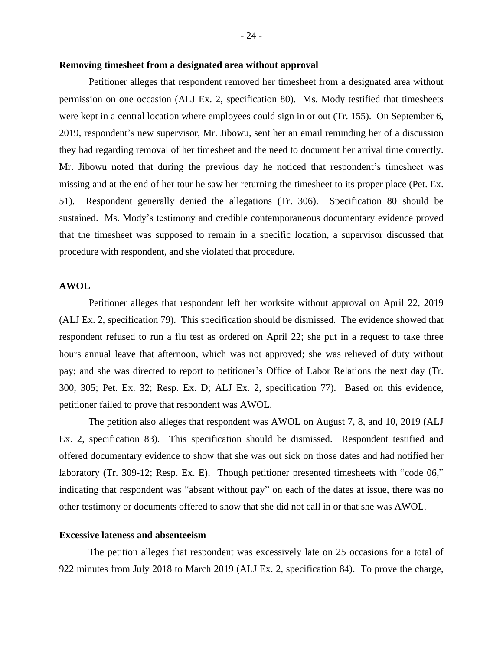# **Removing timesheet from a designated area without approval**

Petitioner alleges that respondent removed her timesheet from a designated area without permission on one occasion (ALJ Ex. 2, specification 80). Ms. Mody testified that timesheets were kept in a central location where employees could sign in or out (Tr. 155). On September 6, 2019, respondent's new supervisor, Mr. Jibowu, sent her an email reminding her of a discussion they had regarding removal of her timesheet and the need to document her arrival time correctly. Mr. Jibowu noted that during the previous day he noticed that respondent's timesheet was missing and at the end of her tour he saw her returning the timesheet to its proper place (Pet. Ex. 51). Respondent generally denied the allegations (Tr. 306). Specification 80 should be sustained. Ms. Mody's testimony and credible contemporaneous documentary evidence proved that the timesheet was supposed to remain in a specific location, a supervisor discussed that procedure with respondent, and she violated that procedure.

# **AWOL**

Petitioner alleges that respondent left her worksite without approval on April 22, 2019 (ALJ Ex. 2, specification 79). This specification should be dismissed. The evidence showed that respondent refused to run a flu test as ordered on April 22; she put in a request to take three hours annual leave that afternoon, which was not approved; she was relieved of duty without pay; and she was directed to report to petitioner's Office of Labor Relations the next day (Tr. 300, 305; Pet. Ex. 32; Resp. Ex. D; ALJ Ex. 2, specification 77). Based on this evidence, petitioner failed to prove that respondent was AWOL.

The petition also alleges that respondent was AWOL on August 7, 8, and 10, 2019 (ALJ Ex. 2, specification 83). This specification should be dismissed. Respondent testified and offered documentary evidence to show that she was out sick on those dates and had notified her laboratory (Tr. 309-12; Resp. Ex. E). Though petitioner presented timesheets with "code 06," indicating that respondent was "absent without pay" on each of the dates at issue, there was no other testimony or documents offered to show that she did not call in or that she was AWOL.

# **Excessive lateness and absenteeism**

The petition alleges that respondent was excessively late on 25 occasions for a total of 922 minutes from July 2018 to March 2019 (ALJ Ex. 2, specification 84). To prove the charge,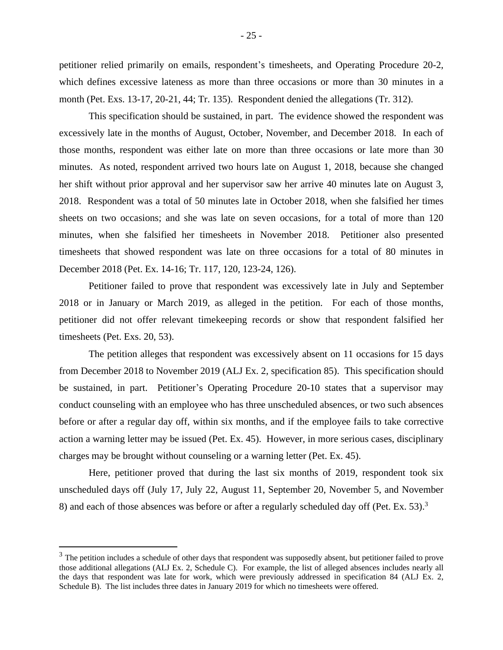petitioner relied primarily on emails, respondent's timesheets, and Operating Procedure 20-2, which defines excessive lateness as more than three occasions or more than 30 minutes in a month (Pet. Exs. 13-17, 20-21, 44; Tr. 135). Respondent denied the allegations (Tr. 312).

This specification should be sustained, in part. The evidence showed the respondent was excessively late in the months of August, October, November, and December 2018. In each of those months, respondent was either late on more than three occasions or late more than 30 minutes. As noted, respondent arrived two hours late on August 1, 2018, because she changed her shift without prior approval and her supervisor saw her arrive 40 minutes late on August 3, 2018. Respondent was a total of 50 minutes late in October 2018, when she falsified her times sheets on two occasions; and she was late on seven occasions, for a total of more than 120 minutes, when she falsified her timesheets in November 2018. Petitioner also presented timesheets that showed respondent was late on three occasions for a total of 80 minutes in December 2018 (Pet. Ex. 14-16; Tr. 117, 120, 123-24, 126).

Petitioner failed to prove that respondent was excessively late in July and September 2018 or in January or March 2019, as alleged in the petition. For each of those months, petitioner did not offer relevant timekeeping records or show that respondent falsified her timesheets (Pet. Exs. 20, 53).

The petition alleges that respondent was excessively absent on 11 occasions for 15 days from December 2018 to November 2019 (ALJ Ex. 2, specification 85). This specification should be sustained, in part. Petitioner's Operating Procedure 20-10 states that a supervisor may conduct counseling with an employee who has three unscheduled absences, or two such absences before or after a regular day off, within six months, and if the employee fails to take corrective action a warning letter may be issued (Pet. Ex. 45). However, in more serious cases, disciplinary charges may be brought without counseling or a warning letter (Pet. Ex. 45).

Here, petitioner proved that during the last six months of 2019, respondent took six unscheduled days off (July 17, July 22, August 11, September 20, November 5, and November 8) and each of those absences was before or after a regularly scheduled day off (Pet. Ex. 53).<sup>3</sup>

 $3$  The petition includes a schedule of other days that respondent was supposedly absent, but petitioner failed to prove those additional allegations (ALJ Ex. 2, Schedule C). For example, the list of alleged absences includes nearly all the days that respondent was late for work, which were previously addressed in specification 84 (ALJ Ex. 2, Schedule B). The list includes three dates in January 2019 for which no timesheets were offered.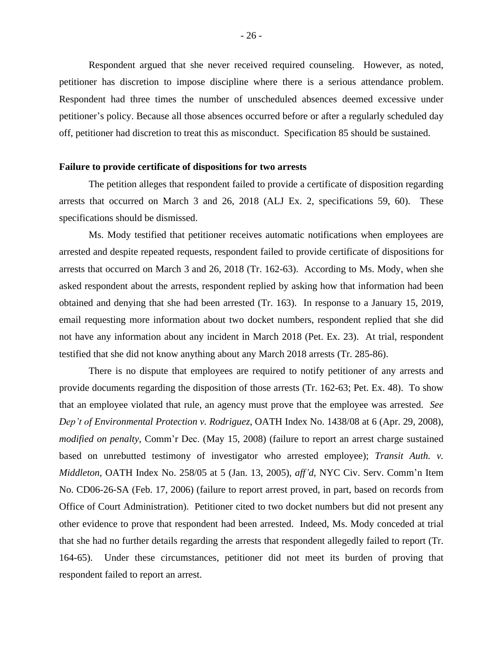Respondent argued that she never received required counseling. However, as noted, petitioner has discretion to impose discipline where there is a serious attendance problem. Respondent had three times the number of unscheduled absences deemed excessive under petitioner's policy. Because all those absences occurred before or after a regularly scheduled day off, petitioner had discretion to treat this as misconduct. Specification 85 should be sustained.

#### **Failure to provide certificate of dispositions for two arrests**

The petition alleges that respondent failed to provide a certificate of disposition regarding arrests that occurred on March 3 and 26, 2018 (ALJ Ex. 2, specifications 59, 60). These specifications should be dismissed.

Ms. Mody testified that petitioner receives automatic notifications when employees are arrested and despite repeated requests, respondent failed to provide certificate of dispositions for arrests that occurred on March 3 and 26, 2018 (Tr. 162-63). According to Ms. Mody, when she asked respondent about the arrests, respondent replied by asking how that information had been obtained and denying that she had been arrested (Tr. 163). In response to a January 15, 2019, email requesting more information about two docket numbers, respondent replied that she did not have any information about any incident in March 2018 (Pet. Ex. 23). At trial, respondent testified that she did not know anything about any March 2018 arrests (Tr. 285-86).

There is no dispute that employees are required to notify petitioner of any arrests and provide documents regarding the disposition of those arrests (Tr. 162-63; Pet. Ex. 48). To show that an employee violated that rule, an agency must prove that the employee was arrested. *See Dep't of Environmental Protection v. Rodriguez*, OATH Index No. 1438/08 at 6 (Apr. 29, 2008), *modified on penalty*, Comm'r Dec. (May 15, 2008) (failure to report an arrest charge sustained based on unrebutted testimony of investigator who arrested employee); *Transit Auth. v. Middleton*, OATH Index No. 258/05 at 5 (Jan. 13, 2005), *aff'd*, NYC Civ. Serv. Comm'n Item No. CD06-26-SA (Feb. 17, 2006) (failure to report arrest proved, in part, based on records from Office of Court Administration). Petitioner cited to two docket numbers but did not present any other evidence to prove that respondent had been arrested. Indeed, Ms. Mody conceded at trial that she had no further details regarding the arrests that respondent allegedly failed to report (Tr. 164-65). Under these circumstances, petitioner did not meet its burden of proving that respondent failed to report an arrest.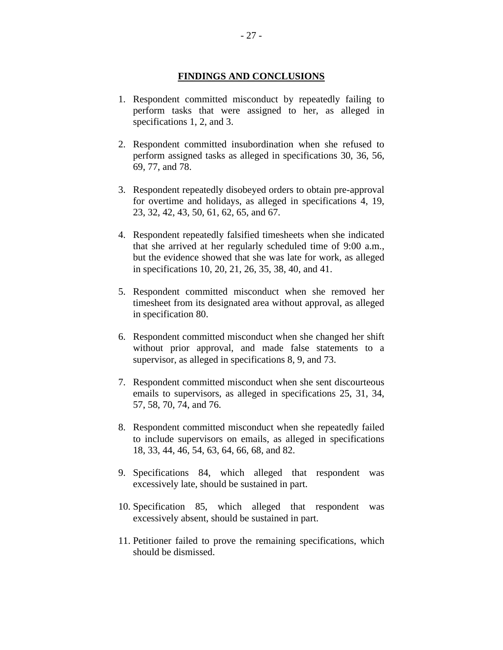# **FINDINGS AND CONCLUSIONS**

- 1. Respondent committed misconduct by repeatedly failing to perform tasks that were assigned to her, as alleged in specifications 1, 2, and 3.
- 2. Respondent committed insubordination when she refused to perform assigned tasks as alleged in specifications 30, 36, 56, 69, 77, and 78.
- 3. Respondent repeatedly disobeyed orders to obtain pre-approval for overtime and holidays, as alleged in specifications 4, 19, 23, 32, 42, 43, 50, 61, 62, 65, and 67.
- 4. Respondent repeatedly falsified timesheets when she indicated that she arrived at her regularly scheduled time of 9:00 a.m., but the evidence showed that she was late for work, as alleged in specifications 10, 20, 21, 26, 35, 38, 40, and 41.
- 5. Respondent committed misconduct when she removed her timesheet from its designated area without approval, as alleged in specification 80.
- 6. Respondent committed misconduct when she changed her shift without prior approval, and made false statements to a supervisor, as alleged in specifications 8, 9, and 73.
- 7. Respondent committed misconduct when she sent discourteous emails to supervisors, as alleged in specifications 25, 31, 34, 57, 58, 70, 74, and 76.
- 8. Respondent committed misconduct when she repeatedly failed to include supervisors on emails, as alleged in specifications 18, 33, 44, 46, 54, 63, 64, 66, 68, and 82.
- 9. Specifications 84, which alleged that respondent was excessively late, should be sustained in part.
- 10. Specification 85, which alleged that respondent was excessively absent, should be sustained in part.
- 11. Petitioner failed to prove the remaining specifications, which should be dismissed.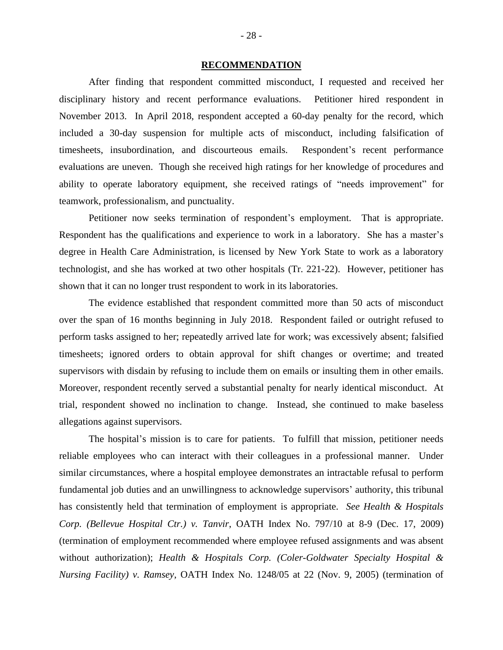#### **RECOMMENDATION**

After finding that respondent committed misconduct, I requested and received her disciplinary history and recent performance evaluations. Petitioner hired respondent in November 2013.In April 2018, respondent accepted a 60-day penalty for the record, which included a 30-day suspension for multiple acts of misconduct, including falsification of timesheets, insubordination, and discourteous emails. Respondent's recent performance evaluations are uneven. Though she received high ratings for her knowledge of procedures and ability to operate laboratory equipment, she received ratings of "needs improvement" for teamwork, professionalism, and punctuality.

Petitioner now seeks termination of respondent's employment. That is appropriate. Respondent has the qualifications and experience to work in a laboratory. She has a master's degree in Health Care Administration, is licensed by New York State to work as a laboratory technologist, and she has worked at two other hospitals (Tr. 221-22). However, petitioner has shown that it can no longer trust respondent to work in its laboratories.

The evidence established that respondent committed more than 50 acts of misconduct over the span of 16 months beginning in July 2018. Respondent failed or outright refused to perform tasks assigned to her; repeatedly arrived late for work; was excessively absent; falsified timesheets; ignored orders to obtain approval for shift changes or overtime; and treated supervisors with disdain by refusing to include them on emails or insulting them in other emails. Moreover, respondent recently served a substantial penalty for nearly identical misconduct. At trial, respondent showed no inclination to change. Instead, she continued to make baseless allegations against supervisors.

The hospital's mission is to care for patients. To fulfill that mission, petitioner needs reliable employees who can interact with their colleagues in a professional manner. Under similar circumstances, where a hospital employee demonstrates an intractable refusal to perform fundamental job duties and an unwillingness to acknowledge supervisors' authority, this tribunal has consistently held that termination of employment is appropriate. *See Health & Hospitals Corp. (Bellevue Hospital Ctr.) v. Tanvir*, OATH Index No. 797/10 at 8-9 (Dec. 17, 2009) (termination of employment recommended where employee refused assignments and was absent without authorization); *Health & Hospitals Corp. (Coler-Goldwater Specialty Hospital & Nursing Facility) v. Ramsey*, OATH Index No. 1248/05 at 22 (Nov. 9, 2005) (termination of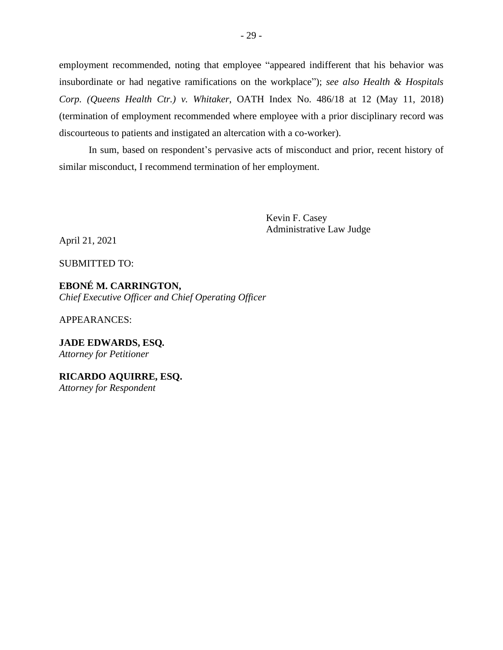employment recommended, noting that employee "appeared indifferent that his behavior was insubordinate or had negative ramifications on the workplace"); *see also Health & Hospitals Corp. (Queens Health Ctr.) v. Whitaker*, OATH Index No. 486/18 at 12 (May 11, 2018) (termination of employment recommended where employee with a prior disciplinary record was discourteous to patients and instigated an altercation with a co-worker).

In sum, based on respondent's pervasive acts of misconduct and prior, recent history of similar misconduct, I recommend termination of her employment.

> Kevin F. Casey Administrative Law Judge

April 21, 2021

SUBMITTED TO:

**EBONÉ M. CARRINGTON,** *Chief Executive Officer and Chief Operating Officer*

APPEARANCES:

**JADE EDWARDS, ESQ***. Attorney for Petitioner*

**RICARDO AQUIRRE, ESQ.** *Attorney for Respondent*